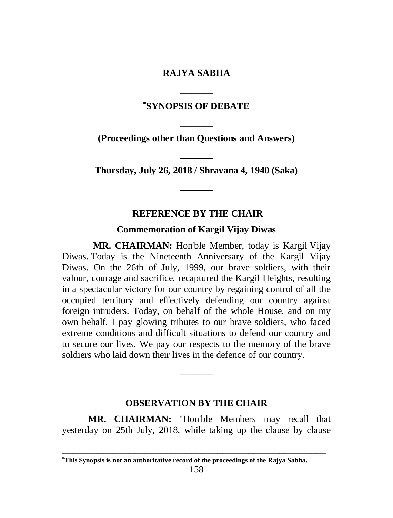# **RAJYA SABHA \_\_\_\_\_\_\_**

# **SYNOPSIS OF DEBATE**

**\_\_\_\_\_\_\_ (Proceedings other than Questions and Answers)**

**\_\_\_\_\_\_\_ Thursday, July 26, 2018 / Shravana 4, 1940 (Saka) \_\_\_\_\_\_\_**

#### **REFERENCE BY THE CHAIR**

#### **Commemoration of Kargil Vijay Diwas**

**MR. CHAIRMAN:** Hon'ble Member, today is Kargil Vijay Diwas. Today is the Nineteenth Anniversary of the Kargil Vijay Diwas. On the 26th of July, 1999, our brave soldiers, with their valour, courage and sacrifice, recaptured the Kargil Heights, resulting in a spectacular victory for our country by regaining control of all the occupied territory and effectively defending our country against foreign intruders. Today, on behalf of the whole House, and on my own behalf, I pay glowing tributes to our brave soldiers, who faced extreme conditions and difficult situations to defend our country and to secure our lives. We pay our respects to the memory of the brave soldiers who laid down their lives in the defence of our country.

#### **OBSERVATION BY THE CHAIR**

**\_\_\_\_\_\_\_**

 **MR. CHAIRMAN:** "Hon'ble Members may recall that yesterday on 25th July, 2018, while taking up the clause by clause

\_\_\_\_\_\_\_\_\_\_\_\_\_\_\_\_\_\_\_\_\_\_\_\_\_\_\_\_\_\_\_\_\_\_\_\_\_\_\_\_\_\_\_\_\_\_\_\_\_\_\_

**This Synopsis is not an authoritative record of the proceedings of the Rajya Sabha.**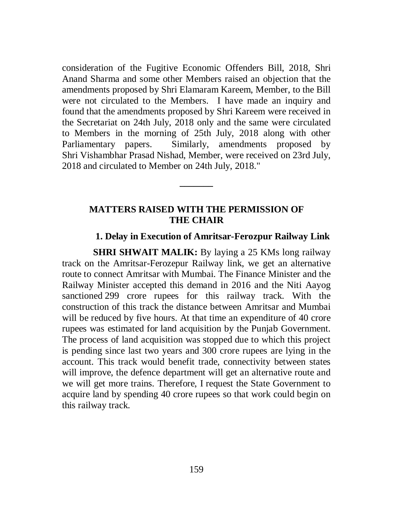consideration of the Fugitive Economic Offenders Bill, 2018, Shri Anand Sharma and some other Members raised an objection that the amendments proposed by Shri Elamaram Kareem, Member, to the Bill were not circulated to the Members. I have made an inquiry and found that the amendments proposed by Shri Kareem were received in the Secretariat on 24th July, 2018 only and the same were circulated to Members in the morning of 25th July, 2018 along with other Parliamentary papers. Similarly, amendments proposed by Shri Vishambhar Prasad Nishad, Member, were received on 23rd July, 2018 and circulated to Member on 24th July, 2018."

### **MATTERS RAISED WITH THE PERMISSION OF THE CHAIR**

**\_\_\_\_\_\_\_**

### **1. Delay in Execution of Amritsar-Ferozpur Railway Link**

**SHRI SHWAIT MALIK:** By laying a 25 KMs long railway track on the Amritsar-Ferozepur Railway link, we get an alternative route to connect Amritsar with Mumbai. The Finance Minister and the Railway Minister accepted this demand in 2016 and the Niti Aayog sanctioned 299 crore rupees for this railway track. With the construction of this track the distance between Amritsar and Mumbai will be reduced by five hours. At that time an expenditure of 40 crore rupees was estimated for land acquisition by the Punjab Government. The process of land acquisition was stopped due to which this project is pending since last two years and 300 crore rupees are lying in the account. This track would benefit trade, connectivity between states will improve, the defence department will get an alternative route and we will get more trains. Therefore, I request the State Government to acquire land by spending 40 crore rupees so that work could begin on this railway track.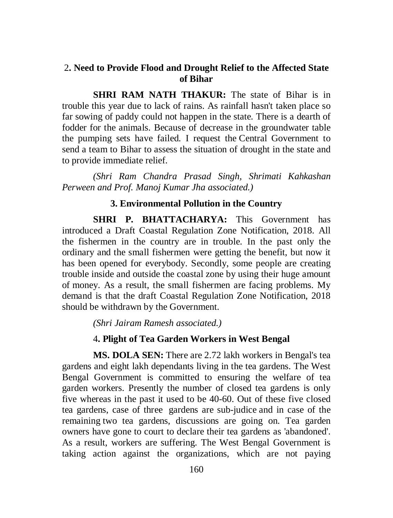## 2**. Need to Provide Flood and Drought Relief to the Affected State of Bihar**

**SHRI RAM NATH THAKUR:** The state of Bihar is in trouble this year due to lack of rains. As rainfall hasn't taken place so far sowing of paddy could not happen in the state. There is a dearth of fodder for the animals. Because of decrease in the groundwater table the pumping sets have failed. I request the Central Government to send a team to Bihar to assess the situation of drought in the state and to provide immediate relief.

*(Shri Ram Chandra Prasad Singh, Shrimati Kahkashan Perween and Prof. Manoj Kumar Jha associated.)*

## **3. Environmental Pollution in the Country**

**SHRI P. BHATTACHARYA:** This Government has introduced a Draft Coastal Regulation Zone Notification, 2018. All the fishermen in the country are in trouble. In the past only the ordinary and the small fishermen were getting the benefit, but now it has been opened for everybody. Secondly, some people are creating trouble inside and outside the coastal zone by using their huge amount of money. As a result, the small fishermen are facing problems. My demand is that the draft Coastal Regulation Zone Notification, 2018 should be withdrawn by the Government.

*(Shri Jairam Ramesh associated.)*

### 4**. Plight of Tea Garden Workers in West Bengal**

**MS. DOLA SEN:** There are 2.72 lakh workers in Bengal's tea gardens and eight lakh dependants living in the tea gardens. The West Bengal Government is committed to ensuring the welfare of tea garden workers. Presently the number of closed tea gardens is only five whereas in the past it used to be 40-60. Out of these five closed tea gardens, case of three gardens are sub-judice and in case of the remaining two tea gardens, discussions are going on. Tea garden owners have gone to court to declare their tea gardens as 'abandoned'. As a result, workers are suffering. The West Bengal Government is taking action against the organizations, which are not paying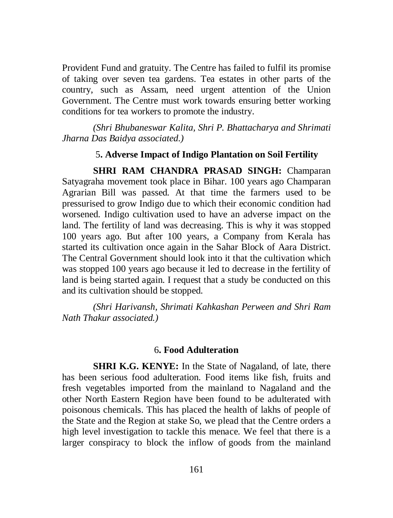Provident Fund and gratuity. The Centre has failed to fulfil its promise of taking over seven tea gardens. Tea estates in other parts of the country, such as Assam, need urgent attention of the Union Government. The Centre must work towards ensuring better working conditions for tea workers to promote the industry.

*(Shri Bhubaneswar Kalita, Shri P. Bhattacharya and Shrimati Jharna Das Baidya associated.)*

# 5**. Adverse Impact of Indigo Plantation on Soil Fertility**

**SHRI RAM CHANDRA PRASAD SINGH:** Champaran Satyagraha movement took place in Bihar. 100 years ago Champaran Agrarian Bill was passed. At that time the farmers used to be pressurised to grow Indigo due to which their economic condition had worsened. Indigo cultivation used to have an adverse impact on the land. The fertility of land was decreasing. This is why it was stopped 100 years ago. But after 100 years, a Company from Kerala has started its cultivation once again in the Sahar Block of Aara District. The Central Government should look into it that the cultivation which was stopped 100 years ago because it led to decrease in the fertility of land is being started again. I request that a study be conducted on this and its cultivation should be stopped.

*(Shri Harivansh, Shrimati Kahkashan Perween and Shri Ram Nath Thakur associated.)*

#### 6**. Food Adulteration**

**SHRI K.G. KENYE:** In the State of Nagaland, of late, there has been serious food adulteration. Food items like fish, fruits and fresh vegetables imported from the mainland to Nagaland and the other North Eastern Region have been found to be adulterated with poisonous chemicals. This has placed the health of lakhs of people of the State and the Region at stake So, we plead that the Centre orders a high level investigation to tackle this menace. We feel that there is a larger conspiracy to block the inflow of goods from the mainland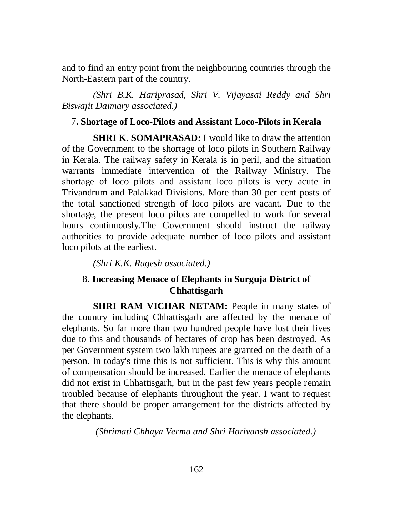and to find an entry point from the neighbouring countries through the North-Eastern part of the country.

*(Shri B.K. Hariprasad, Shri V. Vijayasai Reddy and Shri Biswajit Daimary associated.)*

## 7**. Shortage of Loco-Pilots and Assistant Loco-Pilots in Kerala**

**SHRI K. SOMAPRASAD:** I would like to draw the attention of the Government to the shortage of loco pilots in Southern Railway in Kerala. The railway safety in Kerala is in peril, and the situation warrants immediate intervention of the Railway Ministry. The shortage of loco pilots and assistant loco pilots is very acute in Trivandrum and Palakkad Divisions. More than 30 per cent posts of the total sanctioned strength of loco pilots are vacant. Due to the shortage, the present loco pilots are compelled to work for several hours continuously.The Government should instruct the railway authorities to provide adequate number of loco pilots and assistant loco pilots at the earliest.

*(Shri K.K. Ragesh associated.)*

# 8**. Increasing Menace of Elephants in Surguja District of Chhattisgarh**

**SHRI RAM VICHAR NETAM:** People in many states of the country including Chhattisgarh are affected by the menace of elephants. So far more than two hundred people have lost their lives due to this and thousands of hectares of crop has been destroyed. As per Government system two lakh rupees are granted on the death of a person. In today's time this is not sufficient. This is why this amount of compensation should be increased. Earlier the menace of elephants did not exist in Chhattisgarh, but in the past few years people remain troubled because of elephants throughout the year. I want to request that there should be proper arrangement for the districts affected by the elephants.

*(Shrimati Chhaya Verma and Shri Harivansh associated.)*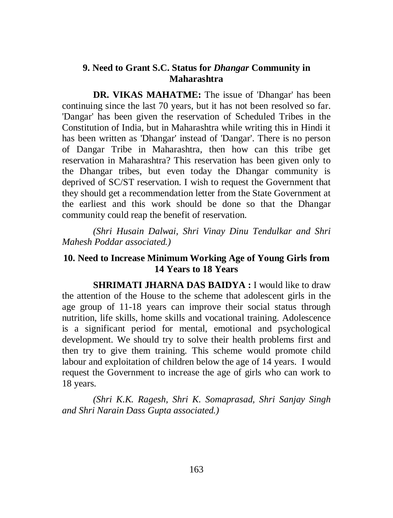## **9. Need to Grant S.C. Status for** *Dhangar* **Community in Maharashtra**

**DR. VIKAS MAHATME:** The issue of 'Dhangar' has been continuing since the last 70 years, but it has not been resolved so far. 'Dangar' has been given the reservation of Scheduled Tribes in the Constitution of India, but in Maharashtra while writing this in Hindi it has been written as 'Dhangar' instead of 'Dangar'. There is no person of Dangar Tribe in Maharashtra, then how can this tribe get reservation in Maharashtra? This reservation has been given only to the Dhangar tribes, but even today the Dhangar community is deprived of SC/ST reservation. I wish to request the Government that they should get a recommendation letter from the State Government at the earliest and this work should be done so that the Dhangar community could reap the benefit of reservation.

*(Shri Husain Dalwai, Shri Vinay Dinu Tendulkar and Shri Mahesh Poddar associated.)*

# **10. Need to Increase Minimum Working Age of Young Girls from 14 Years to 18 Years**

**SHRIMATI JHARNA DAS BAIDYA :** I would like to draw the attention of the House to the scheme that adolescent girls in the age group of 11-18 years can improve their social status through nutrition, life skills, home skills and vocational training. Adolescence is a significant period for mental, emotional and psychological development. We should try to solve their health problems first and then try to give them training. This scheme would promote child labour and exploitation of children below the age of 14 years. I would request the Government to increase the age of girls who can work to 18 years.

*(Shri K.K. Ragesh, Shri K. Somaprasad, Shri Sanjay Singh and Shri Narain Dass Gupta associated.)*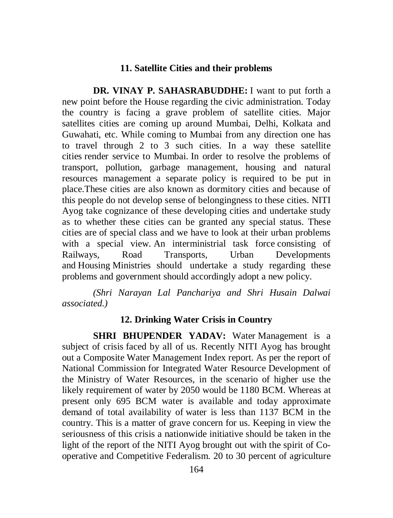## **11. Satellite Cities and their problems**

**DR. VINAY P. SAHASRABUDDHE:** I want to put forth a new point before the House regarding the civic administration. Today the country is facing a grave problem of satellite cities. Major satellites cities are coming up around Mumbai, Delhi, Kolkata and Guwahati, etc. While coming to Mumbai from any direction one has to travel through 2 to 3 such cities. In a way these satellite cities render service to Mumbai. In order to resolve the problems of transport, pollution, garbage management, housing and natural resources management a separate policy is required to be put in place.These cities are also known as dormitory cities and because of this people do not develop sense of belongingness to these cities. NITI Ayog take cognizance of these developing cities and undertake study as to whether these cities can be granted any special status. These cities are of special class and we have to look at their urban problems with a special view. An interministrial task force consisting of Railways, Road Transports, Urban Developments and Housing Ministries should undertake a study regarding these problems and government should accordingly adopt a new policy.

*(Shri Narayan Lal Panchariya and Shri Husain Dalwai associated.)*

### **12. Drinking Water Crisis in Country**

**SHRI BHUPENDER YADAV:** Water Management is a subject of crisis faced by all of us. Recently NITI Ayog has brought out a Composite Water Management Index report. As per the report of National Commission for Integrated Water Resource Development of the Ministry of Water Resources, in the scenario of higher use the likely requirement of water by 2050 would be 1180 BCM. Whereas at present only 695 BCM water is available and today approximate demand of total availability of water is less than 1137 BCM in the country. This is a matter of grave concern for us. Keeping in view the seriousness of this crisis a nationwide initiative should be taken in the light of the report of the NITI Ayog brought out with the spirit of Cooperative and Competitive Federalism. 20 to 30 percent of agriculture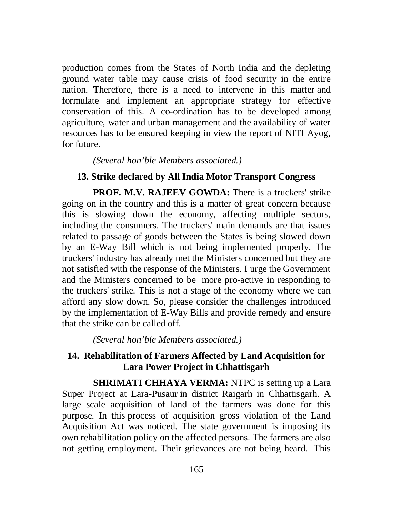production comes from the States of North India and the depleting ground water table may cause crisis of food security in the entire nation. Therefore, there is a need to intervene in this matter and formulate and implement an appropriate strategy for effective conservation of this. A co-ordination has to be developed among agriculture, water and urban management and the availability of water resources has to be ensured keeping in view the report of NITI Ayog, for future.

### *(Several hon'ble Members associated.)*

## **13. Strike declared by All India Motor Transport Congress**

**PROF. M.V. RAJEEV GOWDA:** There is a truckers' strike going on in the country and this is a matter of great concern because this is slowing down the economy, affecting multiple sectors, including the consumers. The truckers' main demands are that issues related to passage of goods between the States is being slowed down by an E-Way Bill which is not being implemented properly. The truckers' industry has already met the Ministers concerned but they are not satisfied with the response of the Ministers. I urge the Government and the Ministers concerned to be more pro-active in responding to the truckers' strike. This is not a stage of the economy where we can afford any slow down. So, please consider the challenges introduced by the implementation of E-Way Bills and provide remedy and ensure that the strike can be called off.

*(Several hon'ble Members associated.)*

## **14. Rehabilitation of Farmers Affected by Land Acquisition for Lara Power Project in Chhattisgarh**

**SHRIMATI CHHAYA VERMA:** NTPC is setting up a Lara Super Project at Lara-Pusaur in district Raigarh in Chhattisgarh. A large scale acquisition of land of the farmers was done for this purpose. In this process of acquisition gross violation of the Land Acquisition Act was noticed. The state government is imposing its own rehabilitation policy on the affected persons. The farmers are also not getting employment. Their grievances are not being heard. This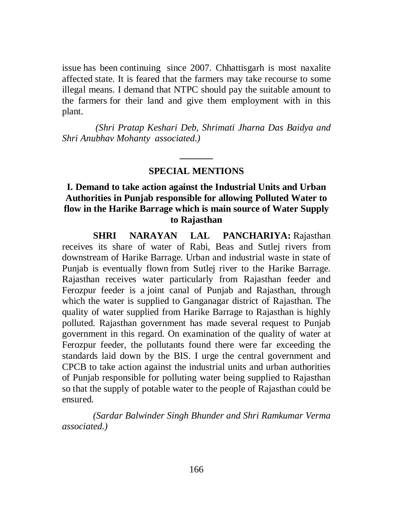issue has been continuing since 2007. Chhattisgarh is most naxalite affected state. It is feared that the farmers may take recourse to some illegal means. I demand that NTPC should pay the suitable amount to the farmers for their land and give them employment with in this plant.

*(Shri Pratap Keshari Deb, Shrimati Jharna Das Baidya and Shri Anubhav Mohanty associated.)*

# **\_\_\_\_\_\_\_ SPECIAL MENTIONS**

# **I. Demand to take action against the Industrial Units and Urban Authorities in Punjab responsible for allowing Polluted Water to flow in the Harike Barrage which is main source of Water Supply to Rajasthan**

**SHRI NARAYAN LAL PANCHARIYA:** Rajasthan receives its share of water of Rabi, Beas and Sutlej rivers from downstream of Harike Barrage. Urban and industrial waste in state of Punjab is eventually flown from Sutlej river to the Harike Barrage. Rajasthan receives water particularly from Rajasthan feeder and Ferozpur feeder is a joint canal of Punjab and Rajasthan, through which the water is supplied to Ganganagar district of Rajasthan. The quality of water supplied from Harike Barrage to Rajasthan is highly polluted. Rajasthan government has made several request to Punjab government in this regard. On examination of the quality of water at Ferozpur feeder, the pollutants found there were far exceeding the standards laid down by the BIS. I urge the central government and CPCB to take action against the industrial units and urban authorities of Punjab responsible for polluting water being supplied to Rajasthan so that the supply of potable water to the people of Rajasthan could be ensured.

*(Sardar Balwinder Singh Bhunder and Shri Ramkumar Verma associated.)*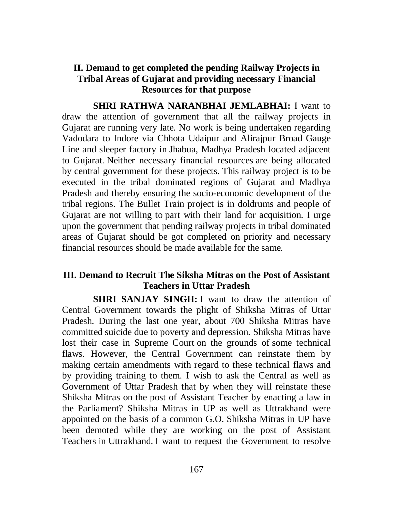# **II. Demand to get completed the pending Railway Projects in Tribal Areas of Gujarat and providing necessary Financial Resources for that purpose**

**SHRI RATHWA NARANBHAI JEMLABHAI:** I want to draw the attention of government that all the railway projects in Gujarat are running very late. No work is being undertaken regarding Vadodara to Indore via Chhota Udaipur and Alirajpur Broad Gauge Line and sleeper factory in Jhabua, Madhya Pradesh located adjacent to Gujarat. Neither necessary financial resources are being allocated by central government for these projects. This railway project is to be executed in the tribal dominated regions of Gujarat and Madhya Pradesh and thereby ensuring the socio-economic development of the tribal regions. The Bullet Train project is in doldrums and people of Gujarat are not willing to part with their land for acquisition. I urge upon the government that pending railway projects in tribal dominated areas of Gujarat should be got completed on priority and necessary financial resources should be made available for the same.

## **III. Demand to Recruit The Siksha Mitras on the Post of Assistant Teachers in Uttar Pradesh**

**SHRI SANJAY SINGH:** I want to draw the attention of Central Government towards the plight of Shiksha Mitras of Uttar Pradesh. During the last one year, about 700 Shiksha Mitras have committed suicide due to poverty and depression. Shiksha Mitras have lost their case in Supreme Court on the grounds of some technical flaws. However, the Central Government can reinstate them by making certain amendments with regard to these technical flaws and by providing training to them. I wish to ask the Central as well as Government of Uttar Pradesh that by when they will reinstate these Shiksha Mitras on the post of Assistant Teacher by enacting a law in the Parliament? Shiksha Mitras in UP as well as Uttrakhand were appointed on the basis of a common G.O. Shiksha Mitras in UP have been demoted while they are working on the post of Assistant Teachers in Uttrakhand. I want to request the Government to resolve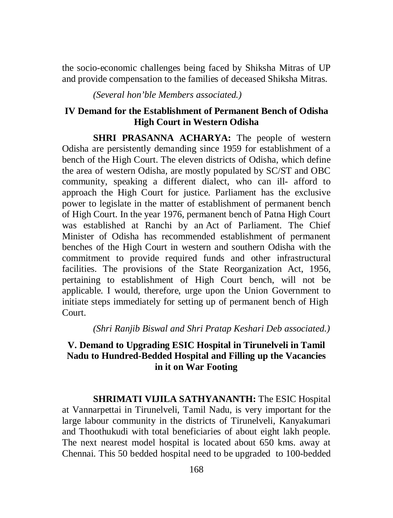the socio-economic challenges being faced by Shiksha Mitras of UP and provide compensation to the families of deceased Shiksha Mitras.

*(Several hon'ble Members associated.)*

## **IV Demand for the Establishment of Permanent Bench of Odisha High Court in Western Odisha**

**SHRI PRASANNA ACHARYA:** The people of western Odisha are persistently demanding since 1959 for establishment of a bench of the High Court. The eleven districts of Odisha, which define the area of western Odisha, are mostly populated by SC/ST and OBC community, speaking a different dialect, who can ill- afford to approach the High Court for justice. Parliament has the exclusive power to legislate in the matter of establishment of permanent bench of High Court. In the year 1976, permanent bench of Patna High Court was established at Ranchi by an Act of Parliament. The Chief Minister of Odisha has recommended establishment of permanent benches of the High Court in western and southern Odisha with the commitment to provide required funds and other infrastructural facilities. The provisions of the State Reorganization Act, 1956, pertaining to establishment of High Court bench, will not be applicable. I would, therefore, urge upon the Union Government to initiate steps immediately for setting up of permanent bench of High Court.

*(Shri Ranjib Biswal and Shri Pratap Keshari Deb associated.)*

# **V. Demand to Upgrading ESIC Hospital in Tirunelveli in Tamil Nadu to Hundred-Bedded Hospital and Filling up the Vacancies in it on War Footing**

**SHRIMATI VIJILA SATHYANANTH:** The ESIC Hospital at Vannarpettai in Tirunelveli, Tamil Nadu, is very important for the large labour community in the districts of Tirunelveli, Kanyakumari and Thoothukudi with total beneficiaries of about eight lakh people. The next nearest model hospital is located about 650 kms. away at Chennai. This 50 bedded hospital need to be upgraded to 100-bedded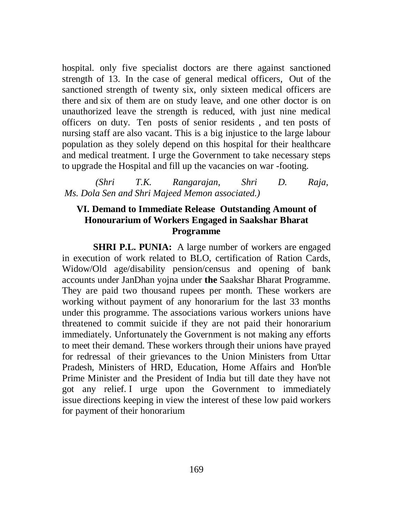hospital. only five specialist doctors are there against sanctioned strength of 13. In the case of general medical officers, Out of the sanctioned strength of twenty six, only sixteen medical officers are there and six of them are on study leave, and one other doctor is on unauthorized leave the strength is reduced, with just nine medical officers on duty. Ten posts of senior residents , and ten posts of nursing staff are also vacant. This is a big injustice to the large labour population as they solely depend on this hospital for their healthcare and medical treatment. I urge the Government to take necessary steps to upgrade the Hospital and fill up the vacancies on war -footing.

*(Shri T.K. Rangarajan, Shri D. Raja, Ms. Dola Sen and Shri Majeed Memon associated.)*

# **VI. Demand to Immediate Release Outstanding Amount of Honourarium of Workers Engaged in Saakshar Bharat Programme**

**SHRI P.L. PUNIA:** A large number of workers are engaged in execution of work related to BLO, certification of Ration Cards, Widow/Old age/disability pension/census and opening of bank accounts under JanDhan yojna under **the** Saakshar Bharat Programme. They are paid two thousand rupees per month. These workers are working without payment of any honorarium for the last 33 months under this programme. The associations various workers unions have threatened to commit suicide if they are not paid their honorarium immediately. Unfortunately the Government is not making any efforts to meet their demand. These workers through their unions have prayed for redressal of their grievances to the Union Ministers from Uttar Pradesh, Ministers of HRD, Education, Home Affairs and Hon'ble Prime Minister and the President of India but till date they have not got any relief. I urge upon the Government to immediately issue directions keeping in view the interest of these low paid workers for payment of their honorarium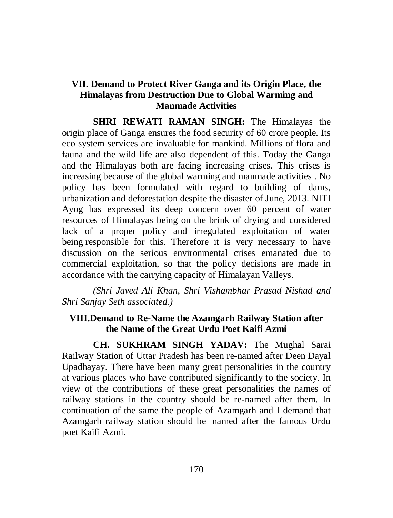## **VII. Demand to Protect River Ganga and its Origin Place, the Himalayas from Destruction Due to Global Warming and Manmade Activities**

**SHRI REWATI RAMAN SINGH:** The Himalayas the origin place of Ganga ensures the food security of 60 crore people. Its eco system services are invaluable for mankind. Millions of flora and fauna and the wild life are also dependent of this. Today the Ganga and the Himalayas both are facing increasing crises. This crises is increasing because of the global warming and manmade activities . No policy has been formulated with regard to building of dams, urbanization and deforestation despite the disaster of June, 2013. NITI Ayog has expressed its deep concern over 60 percent of water resources of Himalayas being on the brink of drying and considered lack of a proper policy and irregulated exploitation of water being responsible for this. Therefore it is very necessary to have discussion on the serious environmental crises emanated due to commercial exploitation, so that the policy decisions are made in accordance with the carrying capacity of Himalayan Valleys.

*(Shri Javed Ali Khan, Shri Vishambhar Prasad Nishad and Shri Sanjay Seth associated.)*

# **VIII.Demand to Re-Name the Azamgarh Railway Station after the Name of the Great Urdu Poet Kaifi Azmi**

**CH. SUKHRAM SINGH YADAV:** The Mughal Sarai Railway Station of Uttar Pradesh has been re-named after Deen Dayal Upadhayay. There have been many great personalities in the country at various places who have contributed significantly to the society. In view of the contributions of these great personalities the names of railway stations in the country should be re-named after them. In continuation of the same the people of Azamgarh and I demand that Azamgarh railway station should be named after the famous Urdu poet Kaifi Azmi.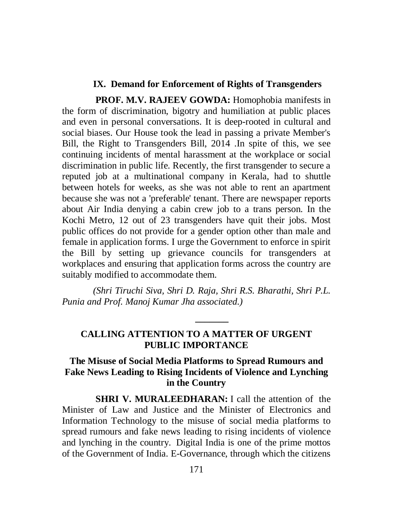## **IX. Demand for Enforcement of Rights of Transgenders**

**PROF. M.V. RAJEEV GOWDA:** Homophobia manifests in the form of discrimination, bigotry and humiliation at public places and even in personal conversations. It is deep-rooted in cultural and social biases. Our House took the lead in passing a private Member's Bill, the Right to Transgenders Bill, 2014 .In spite of this, we see continuing incidents of mental harassment at the workplace or social discrimination in public life. Recently, the first transgender to secure a reputed job at a multinational company in Kerala, had to shuttle between hotels for weeks, as she was not able to rent an apartment because she was not a 'preferable' tenant. There are newspaper reports about Air India denying a cabin crew job to a trans person. In the Kochi Metro, 12 out of 23 transgenders have quit their jobs. Most public offices do not provide for a gender option other than male and female in application forms. I urge the Government to enforce in spirit the Bill by setting up grievance councils for transgenders at workplaces and ensuring that application forms across the country are suitably modified to accommodate them.

*(Shri Tiruchi Siva, Shri D. Raja, Shri R.S. Bharathi, Shri P.L. Punia and Prof. Manoj Kumar Jha associated.)*

# **CALLING ATTENTION TO A MATTER OF URGENT PUBLIC IMPORTANCE**

**\_\_\_\_\_\_\_**

## **The Misuse of Social Media Platforms to Spread Rumours and Fake News Leading to Rising Incidents of Violence and Lynching in the Country**

**SHRI V. MURALEEDHARAN:** I call the attention of the Minister of Law and Justice and the Minister of Electronics and Information Technology to the misuse of social media platforms to spread rumours and fake news leading to rising incidents of violence and lynching in the country. Digital India is one of the prime mottos of the Government of India. E-Governance, through which the citizens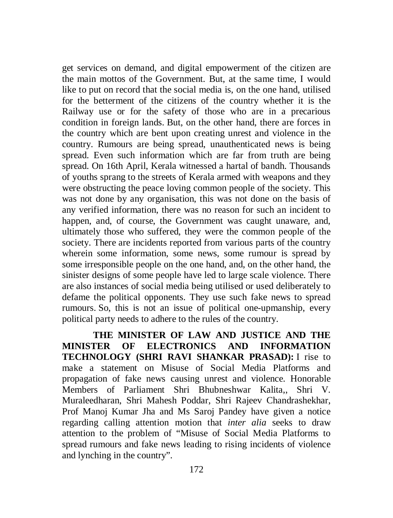get services on demand, and digital empowerment of the citizen are the main mottos of the Government. But, at the same time, I would like to put on record that the social media is, on the one hand, utilised for the betterment of the citizens of the country whether it is the Railway use or for the safety of those who are in a precarious condition in foreign lands. But, on the other hand, there are forces in the country which are bent upon creating unrest and violence in the country. Rumours are being spread, unauthenticated news is being spread. Even such information which are far from truth are being spread. On 16th April, Kerala witnessed a hartal of bandh. Thousands of youths sprang to the streets of Kerala armed with weapons and they were obstructing the peace loving common people of the society. This was not done by any organisation, this was not done on the basis of any verified information, there was no reason for such an incident to happen, and, of course, the Government was caught unaware, and, ultimately those who suffered, they were the common people of the society. There are incidents reported from various parts of the country wherein some information, some news, some rumour is spread by some irresponsible people on the one hand, and, on the other hand, the sinister designs of some people have led to large scale violence. There are also instances of social media being utilised or used deliberately to defame the political opponents. They use such fake news to spread rumours. So, this is not an issue of political one-upmanship, every political party needs to adhere to the rules of the country.

**THE MINISTER OF LAW AND JUSTICE AND THE MINISTER OF ELECTRONICS AND INFORMATION TECHNOLOGY (SHRI RAVI SHANKAR PRASAD):** I rise to make a statement on Misuse of Social Media Platforms and propagation of fake news causing unrest and violence. Honorable Members of Parliament Shri Bhubneshwar Kalita,, Shri V. Muraleedharan, Shri Mahesh Poddar, Shri Rajeev Chandrashekhar, Prof Manoj Kumar Jha and Ms Saroj Pandey have given a notice regarding calling attention motion that *inter alia* seeks to draw attention to the problem of "Misuse of Social Media Platforms to spread rumours and fake news leading to rising incidents of violence and lynching in the country".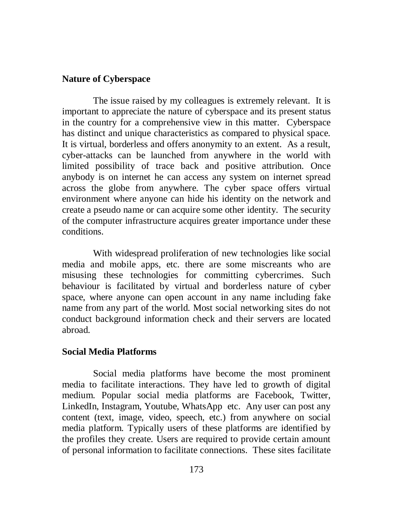## **Nature of Cyberspace**

The issue raised by my colleagues is extremely relevant. It is important to appreciate the nature of cyberspace and its present status in the country for a comprehensive view in this matter. Cyberspace has distinct and unique characteristics as compared to physical space. It is virtual, borderless and offers anonymity to an extent. As a result, cyber-attacks can be launched from anywhere in the world with limited possibility of trace back and positive attribution. Once anybody is on internet he can access any system on internet spread across the globe from anywhere. The cyber space offers virtual environment where anyone can hide his identity on the network and create a pseudo name or can acquire some other identity. The security of the computer infrastructure acquires greater importance under these conditions.

With widespread proliferation of new technologies like social media and mobile apps, etc. there are some miscreants who are misusing these technologies for committing cybercrimes. Such behaviour is facilitated by virtual and borderless nature of cyber space, where anyone can open account in any name including fake name from any part of the world. Most social networking sites do not conduct background information check and their servers are located abroad.

## **Social Media Platforms**

Social media platforms have become the most prominent media to facilitate interactions. They have led to growth of digital medium. Popular social media platforms are Facebook, Twitter, LinkedIn, Instagram, Youtube, WhatsApp etc. Any user can post any content (text, image, video, speech, etc.) from anywhere on social media platform. Typically users of these platforms are identified by the profiles they create. Users are required to provide certain amount of personal information to facilitate connections. These sites facilitate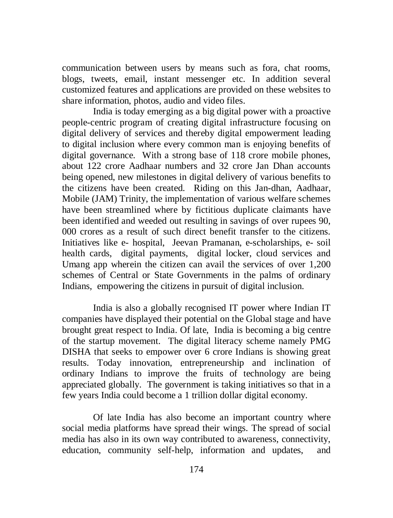communication between users by means such as fora, chat rooms, blogs, tweets, email, instant messenger etc. In addition several customized features and applications are provided on these websites to share information, photos, audio and video files.

India is today emerging as a big digital power with a proactive people-centric program of creating digital infrastructure focusing on digital delivery of services and thereby digital empowerment leading to digital inclusion where every common man is enjoying benefits of digital governance. With a strong base of 118 crore mobile phones, about 122 crore Aadhaar numbers and 32 crore Jan Dhan accounts being opened, new milestones in digital delivery of various benefits to the citizens have been created. Riding on this Jan-dhan, Aadhaar, Mobile (JAM) Trinity, the implementation of various welfare schemes have been streamlined where by fictitious duplicate claimants have been identified and weeded out resulting in savings of over rupees 90, 000 crores as a result of such direct benefit transfer to the citizens. Initiatives like e- hospital, Jeevan Pramanan, e-scholarships, e- soil health cards, digital payments, digital locker, cloud services and Umang app wherein the citizen can avail the services of over 1,200 schemes of Central or State Governments in the palms of ordinary Indians, empowering the citizens in pursuit of digital inclusion.

India is also a globally recognised IT power where Indian IT companies have displayed their potential on the Global stage and have brought great respect to India. Of late, India is becoming a big centre of the startup movement. The digital literacy scheme namely PMG DISHA that seeks to empower over 6 crore Indians is showing great results. Today innovation, entrepreneurship and inclination of ordinary Indians to improve the fruits of technology are being appreciated globally. The government is taking initiatives so that in a few years India could become a 1 trillion dollar digital economy.

Of late India has also become an important country where social media platforms have spread their wings. The spread of social media has also in its own way contributed to awareness, connectivity, education, community self-help, information and updates, and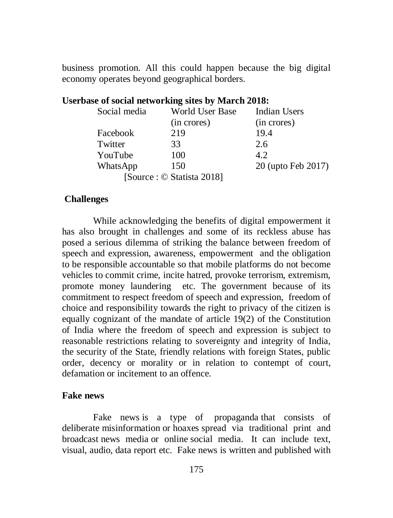business promotion. All this could happen because the big digital economy operates beyond geographical borders.

| asc of social networking sites by inarch 2010. |                    |
|------------------------------------------------|--------------------|
| World User Base                                | Indian Users       |
| (in crores)                                    | (in crores)        |
| 219                                            | 19.4               |
| 33                                             | 2.6                |
| 100                                            | 4.2                |
| 150                                            | 20 (upto Feb 2017) |
| [Source : © Statista 2018]                     |                    |
|                                                |                    |

# **Userbase of social networking sites by March 2018:**

### **Challenges**

While acknowledging the benefits of digital empowerment it has also brought in challenges and some of its reckless abuse has posed a serious dilemma of striking the balance between freedom of speech and expression, awareness, empowerment and the obligation to be responsible accountable so that mobile platforms do not become vehicles to commit crime, incite hatred, provoke terrorism, extremism, promote money laundering etc. The government because of its commitment to respect freedom of speech and expression, freedom of choice and responsibility towards the right to privacy of the citizen is equally cognizant of the mandate of article 19(2) of the Constitution of India where the freedom of speech and expression is subject to reasonable restrictions relating to sovereignty and integrity of India, the security of the State, friendly relations with foreign States, public order, decency or morality or in relation to contempt of court, defamation or incitement to an offence.

### **Fake news**

Fake news is a type of propaganda that consists of deliberate misinformation or hoaxes spread via traditional print and broadcast news media or online social media. It can include text, visual, audio, data report etc. Fake news is written and published with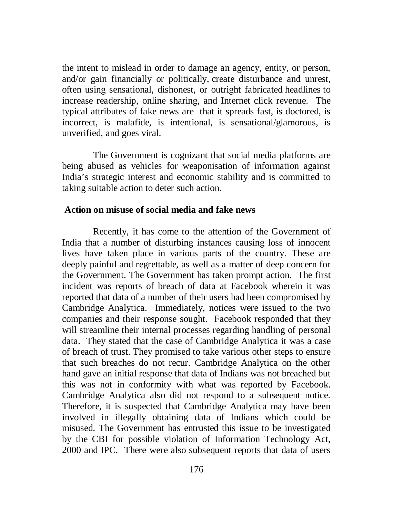the intent to mislead in order to damage an agency, entity, or person, and/or gain financially or politically, create disturbance and unrest, often using sensational, dishonest, or outright fabricated headlines to increase readership, online sharing, and Internet click revenue. The typical attributes of fake news are that it spreads fast, is doctored, is incorrect, is malafide, is intentional, is sensational/glamorous, is unverified, and goes viral.

The Government is cognizant that social media platforms are being abused as vehicles for weaponisation of information against India's strategic interest and economic stability and is committed to taking suitable action to deter such action.

### **Action on misuse of social media and fake news**

Recently, it has come to the attention of the Government of India that a number of disturbing instances causing loss of innocent lives have taken place in various parts of the country. These are deeply painful and regrettable, as well as a matter of deep concern for the Government. The Government has taken prompt action. The first incident was reports of breach of data at Facebook wherein it was reported that data of a number of their users had been compromised by Cambridge Analytica. Immediately, notices were issued to the two companies and their response sought. Facebook responded that they will streamline their internal processes regarding handling of personal data. They stated that the case of Cambridge Analytica it was a case of breach of trust. They promised to take various other steps to ensure that such breaches do not recur. Cambridge Analytica on the other hand gave an initial response that data of Indians was not breached but this was not in conformity with what was reported by Facebook. Cambridge Analytica also did not respond to a subsequent notice. Therefore, it is suspected that Cambridge Analytica may have been involved in illegally obtaining data of Indians which could be misused. The Government has entrusted this issue to be investigated by the CBI for possible violation of Information Technology Act, 2000 and IPC. There were also subsequent reports that data of users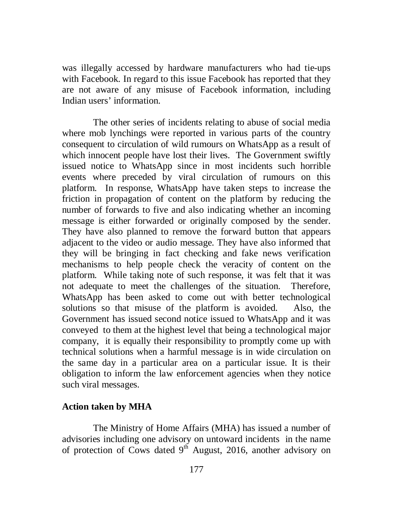was illegally accessed by hardware manufacturers who had tie-ups with Facebook. In regard to this issue Facebook has reported that they are not aware of any misuse of Facebook information, including Indian users' information.

The other series of incidents relating to abuse of social media where mob lynchings were reported in various parts of the country consequent to circulation of wild rumours on WhatsApp as a result of which innocent people have lost their lives. The Government swiftly issued notice to WhatsApp since in most incidents such horrible events where preceded by viral circulation of rumours on this platform. In response, WhatsApp have taken steps to increase the friction in propagation of content on the platform by reducing the number of forwards to five and also indicating whether an incoming message is either forwarded or originally composed by the sender. They have also planned to remove the forward button that appears adjacent to the video or audio message. They have also informed that they will be bringing in fact checking and fake news verification mechanisms to help people check the veracity of content on the platform. While taking note of such response, it was felt that it was not adequate to meet the challenges of the situation. Therefore, WhatsApp has been asked to come out with better technological solutions so that misuse of the platform is avoided. Also, the Government has issued second notice issued to WhatsApp and it was conveyed to them at the highest level that being a technological major company, it is equally their responsibility to promptly come up with technical solutions when a harmful message is in wide circulation on the same day in a particular area on a particular issue. It is their obligation to inform the law enforcement agencies when they notice such viral messages.

#### **Action taken by MHA**

The Ministry of Home Affairs (MHA) has issued a number of advisories including one advisory on untoward incidents in the name of protection of Cows dated  $9<sup>th</sup>$  August, 2016, another advisory on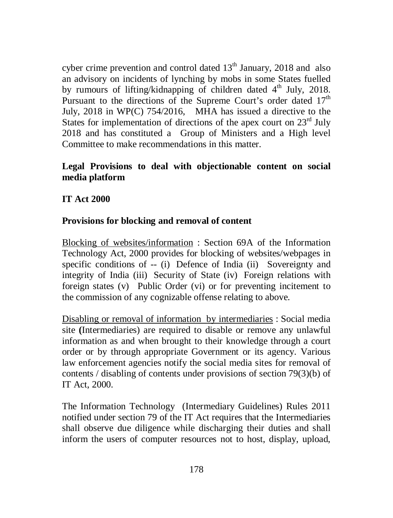cyber crime prevention and control dated  $13<sup>th</sup>$  January, 2018 and also an advisory on incidents of lynching by mobs in some States fuelled by rumours of lifting/kidnapping of children dated 4<sup>th</sup> July, 2018. Pursuant to the directions of the Supreme Court's order dated  $17<sup>th</sup>$ July, 2018 in WP(C) 754/2016, MHA has issued a directive to the States for implementation of directions of the apex court on  $23<sup>rd</sup>$  July 2018 and has constituted a Group of Ministers and a High level Committee to make recommendations in this matter.

# **Legal Provisions to deal with objectionable content on social media platform**

**IT Act 2000**

# **Provisions for blocking and removal of content**

Blocking of websites/information : Section 69A of the Information Technology Act, 2000 provides for blocking of websites/webpages in specific conditions of -- (i) Defence of India (ii) Sovereignty and integrity of India (iii) Security of State (iv) Foreign relations with foreign states (v) Public Order (vi) or for preventing incitement to the commission of any cognizable offense relating to above.

Disabling or removal of information by intermediaries : Social media site **(**Intermediaries) are required to disable or remove any unlawful information as and when brought to their knowledge through a court order or by through appropriate Government or its agency. Various law enforcement agencies notify the social media sites for removal of contents / disabling of contents under provisions of section 79(3)(b) of IT Act, 2000.

The Information Technology (Intermediary Guidelines) Rules 2011 notified under section 79 of the IT Act requires that the Intermediaries shall observe due diligence while discharging their duties and shall inform the users of computer resources not to host, display, upload,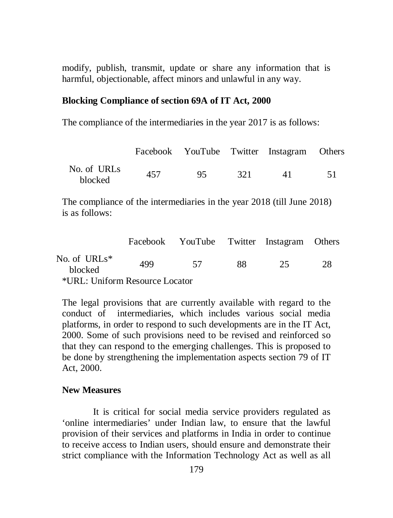modify, publish, transmit, update or share any information that is harmful, objectionable, affect minors and unlawful in any way.

#### **Blocking Compliance of section 69A of IT Act, 2000**

The compliance of the intermediaries in the year 2017 is as follows:

|                        |     |     |      | Facebook YouTube Twitter Instagram Others |  |
|------------------------|-----|-----|------|-------------------------------------------|--|
| No. of URLs<br>blocked | 457 | 95. | -321 | 41                                        |  |

The compliance of the intermediaries in the year 2018 (till June 2018) is as follows:

|                                |     | Facebook YouTube Twitter Instagram Others |     |     |    |
|--------------------------------|-----|-------------------------------------------|-----|-----|----|
| No. of URLs $*$<br>blocked     | 499 | - 57                                      | 88. | 25. | 28 |
| *URL: Uniform Resource Locator |     |                                           |     |     |    |

The legal provisions that are currently available with regard to the conduct of intermediaries, which includes various social media platforms, in order to respond to such developments are in the IT Act, 2000. Some of such provisions need to be revised and reinforced so that they can respond to the emerging challenges. This is proposed to be done by strengthening the implementation aspects section 79 of IT Act, 2000.

#### **New Measures**

It is critical for social media service providers regulated as 'online intermediaries' under Indian law, to ensure that the lawful provision of their services and platforms in India in order to continue to receive access to Indian users, should ensure and demonstrate their strict compliance with the Information Technology Act as well as all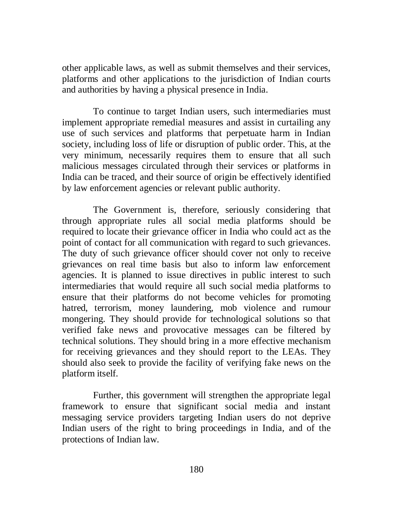other applicable laws, as well as submit themselves and their services, platforms and other applications to the jurisdiction of Indian courts and authorities by having a physical presence in India.

To continue to target Indian users, such intermediaries must implement appropriate remedial measures and assist in curtailing any use of such services and platforms that perpetuate harm in Indian society, including loss of life or disruption of public order. This, at the very minimum, necessarily requires them to ensure that all such malicious messages circulated through their services or platforms in India can be traced, and their source of origin be effectively identified by law enforcement agencies or relevant public authority.

The Government is, therefore, seriously considering that through appropriate rules all social media platforms should be required to locate their grievance officer in India who could act as the point of contact for all communication with regard to such grievances. The duty of such grievance officer should cover not only to receive grievances on real time basis but also to inform law enforcement agencies. It is planned to issue directives in public interest to such intermediaries that would require all such social media platforms to ensure that their platforms do not become vehicles for promoting hatred, terrorism, money laundering, mob violence and rumour mongering. They should provide for technological solutions so that verified fake news and provocative messages can be filtered by technical solutions. They should bring in a more effective mechanism for receiving grievances and they should report to the LEAs. They should also seek to provide the facility of verifying fake news on the platform itself.

Further, this government will strengthen the appropriate legal framework to ensure that significant social media and instant messaging service providers targeting Indian users do not deprive Indian users of the right to bring proceedings in India, and of the protections of Indian law.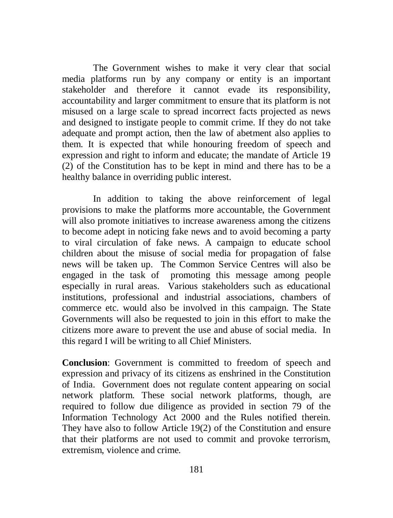The Government wishes to make it very clear that social media platforms run by any company or entity is an important stakeholder and therefore it cannot evade its responsibility, accountability and larger commitment to ensure that its platform is not misused on a large scale to spread incorrect facts projected as news and designed to instigate people to commit crime. If they do not take adequate and prompt action, then the law of abetment also applies to them. It is expected that while honouring freedom of speech and expression and right to inform and educate; the mandate of Article 19 (2) of the Constitution has to be kept in mind and there has to be a healthy balance in overriding public interest.

In addition to taking the above reinforcement of legal provisions to make the platforms more accountable, the Government will also promote initiatives to increase awareness among the citizens to become adept in noticing fake news and to avoid becoming a party to viral circulation of fake news. A campaign to educate school children about the misuse of social media for propagation of false news will be taken up. The Common Service Centres will also be engaged in the task of promoting this message among people especially in rural areas. Various stakeholders such as educational institutions, professional and industrial associations, chambers of commerce etc. would also be involved in this campaign. The State Governments will also be requested to join in this effort to make the citizens more aware to prevent the use and abuse of social media. In this regard I will be writing to all Chief Ministers.

**Conclusion**: Government is committed to freedom of speech and expression and privacy of its citizens as enshrined in the Constitution of India. Government does not regulate content appearing on social network platform. These social network platforms, though, are required to follow due diligence as provided in section 79 of the Information Technology Act 2000 and the Rules notified therein. They have also to follow Article 19(2) of the Constitution and ensure that their platforms are not used to commit and provoke terrorism, extremism, violence and crime.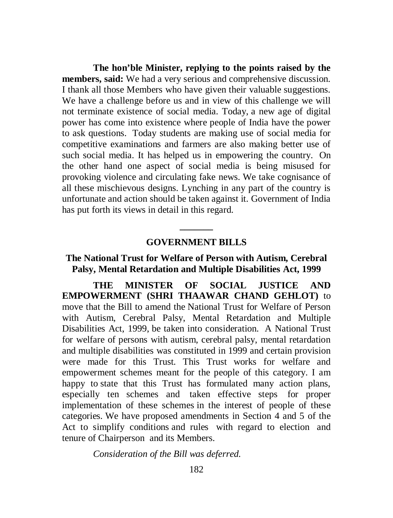**The hon'ble Minister, replying to the points raised by the members, said:** We had a very serious and comprehensive discussion. I thank all those Members who have given their valuable suggestions. We have a challenge before us and in view of this challenge we will not terminate existence of social media. Today, a new age of digital power has come into existence where people of India have the power to ask questions. Today students are making use of social media for competitive examinations and farmers are also making better use of such social media. It has helped us in empowering the country. On the other hand one aspect of social media is being misused for provoking violence and circulating fake news. We take cognisance of all these mischievous designs. Lynching in any part of the country is unfortunate and action should be taken against it. Government of India has put forth its views in detail in this regard.

# **\_\_\_\_\_\_\_ GOVERNMENT BILLS**

## **The National Trust for Welfare of Person with Autism, Cerebral Palsy, Mental Retardation and Multiple Disabilities Act, 1999**

**THE MINISTER OF SOCIAL JUSTICE AND EMPOWERMENT (SHRI THAAWAR CHAND GEHLOT)** to move that the Bill to amend the National Trust for Welfare of Person with Autism, Cerebral Palsy, Mental Retardation and Multiple Disabilities Act, 1999, be taken into consideration. A National Trust for welfare of persons with autism, cerebral palsy, mental retardation and multiple disabilities was constituted in 1999 and certain provision were made for this Trust. This Trust works for welfare and empowerment schemes meant for the people of this category. I am happy to state that this Trust has formulated many action plans, especially ten schemes and taken effective steps for proper implementation of these schemes in the interest of people of these categories. We have proposed amendments in Section 4 and 5 of the Act to simplify conditions and rules with regard to election and tenure of Chairperson and its Members.

*Consideration of the Bill was deferred.*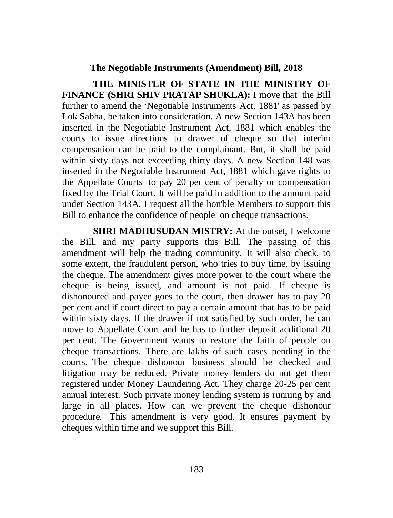#### **The Negotiable Instruments (Amendment) Bill, 2018**

**THE MINISTER OF STATE IN THE MINISTRY OF FINANCE (SHRI SHIV PRATAP SHUKLA):** I move that the Bill further to amend the 'Negotiable Instruments Act, 1881' as passed by Lok Sabha, be taken into consideration. A new Section 143A has been inserted in the Negotiable Instrument Act, 1881 which enables the courts to issue directions to drawer of cheque so that interim compensation can be paid to the complainant. But, it shall be paid within sixty days not exceeding thirty days. A new Section 148 was inserted in the Negotiable Instrument Act, 1881 which gave rights to the Appellate Courts to pay 20 per cent of penalty or compensation fixed by the Trial Court. It will be paid in addition to the amount paid under Section 143A. I request all the hon'ble Members to support this Bill to enhance the confidence of people on cheque transactions.

**SHRI MADHUSUDAN MISTRY:** At the outset, I welcome the Bill, and my party supports this Bill. The passing of this amendment will help the trading community. It will also check, to some extent, the fraudulent person, who tries to buy time, by issuing the cheque. The amendment gives more power to the court where the cheque is being issued, and amount is not paid. If cheque is dishonoured and payee goes to the court, then drawer has to pay 20 per cent and if court direct to pay a certain amount that has to be paid within sixty days. If the drawer if not satisfied by such order, he can move to Appellate Court and he has to further deposit additional 20 per cent. The Government wants to restore the faith of people on cheque transactions. There are lakhs of such cases pending in the courts. The cheque dishonour business should be checked and litigation may be reduced. Private money lenders do not get them registered under Money Laundering Act. They charge 20-25 per cent annual interest. Such private money lending system is running by and large in all places. How can we prevent the cheque dishonour procedure. This amendment is very good. It ensures payment by cheques within time and we support this Bill.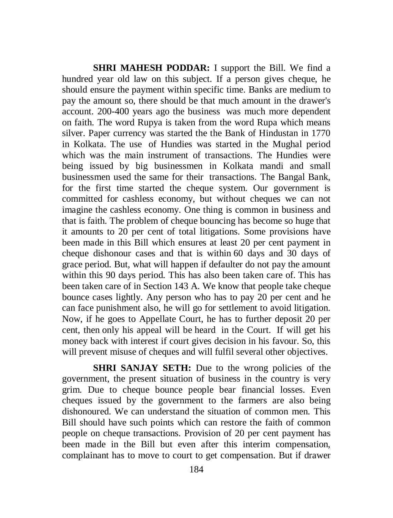**SHRI MAHESH PODDAR:** I support the Bill. We find a hundred year old law on this subject. If a person gives cheque, he should ensure the payment within specific time. Banks are medium to pay the amount so, there should be that much amount in the drawer's account. 200-400 years ago the business was much more dependent on faith. The word Rupya is taken from the word Rupa which means silver. Paper currency was started the the Bank of Hindustan in 1770 in Kolkata. The use of Hundies was started in the Mughal period which was the main instrument of transactions. The Hundies were being issued by big businessmen in Kolkata mandi and small businessmen used the same for their transactions. The Bangal Bank, for the first time started the cheque system. Our government is committed for cashless economy, but without cheques we can not imagine the cashless economy. One thing is common in business and that is faith. The problem of cheque bouncing has become so huge that it amounts to 20 per cent of total litigations. Some provisions have been made in this Bill which ensures at least 20 per cent payment in cheque dishonour cases and that is within 60 days and 30 days of grace period. But, what will happen if defaulter do not pay the amount within this 90 days period. This has also been taken care of. This has been taken care of in Section 143 A. We know that people take cheque bounce cases lightly. Any person who has to pay 20 per cent and he can face punishment also, he will go for settlement to avoid litigation. Now, if he goes to Appellate Court, he has to further deposit 20 per cent, then only his appeal will be heard in the Court. If will get his money back with interest if court gives decision in his favour. So, this will prevent misuse of cheques and will fulfil several other objectives.

**SHRI SANJAY SETH:** Due to the wrong policies of the government, the present situation of business in the country is very grim. Due to cheque bounce people bear financial losses. Even cheques issued by the government to the farmers are also being dishonoured. We can understand the situation of common men. This Bill should have such points which can restore the faith of common people on cheque transactions. Provision of 20 per cent payment has been made in the Bill but even after this interim compensation, complainant has to move to court to get compensation. But if drawer